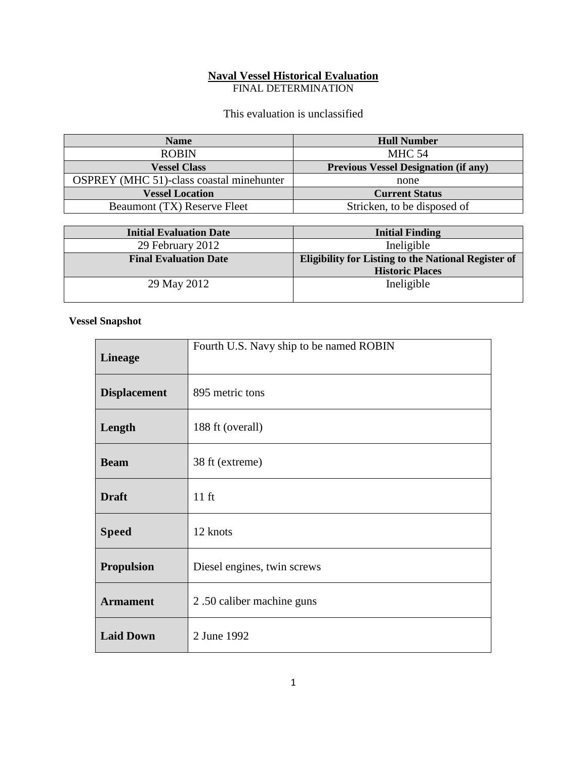#### **Naval Vessel Historical Evaluation**

FINAL DETERMINATION

This evaluation is unclassified

| <b>Name</b>                              | <b>Hull Number</b>                          |
|------------------------------------------|---------------------------------------------|
| <b>ROBIN</b>                             | <b>MHC 54</b>                               |
| <b>Vessel Class</b>                      | <b>Previous Vessel Designation (if any)</b> |
| OSPREY (MHC 51)-class coastal minehunter | none                                        |
| <b>Vessel Location</b>                   | <b>Current Status</b>                       |
| <b>Beaumont (TX) Reserve Fleet</b>       | Stricken, to be disposed of                 |

| <b>Initial Evaluation Date</b> | <b>Initial Finding</b>                                     |
|--------------------------------|------------------------------------------------------------|
| 29 February 2012               | Ineligible                                                 |
| <b>Final Evaluation Date</b>   | <b>Eligibility for Listing to the National Register of</b> |
|                                | <b>Historic Places</b>                                     |
| 29 May 2012                    | Ineligible                                                 |
|                                |                                                            |

### **Vessel Snapshot**

| <b>Lineage</b>      | Fourth U.S. Navy ship to be named ROBIN |
|---------------------|-----------------------------------------|
| <b>Displacement</b> | 895 metric tons                         |
| Length              | 188 ft (overall)                        |
| <b>Beam</b>         | 38 ft (extreme)                         |
| <b>Draft</b>        | $11$ ft                                 |
| <b>Speed</b>        | 12 knots                                |
| <b>Propulsion</b>   | Diesel engines, twin screws             |
| <b>Armament</b>     | 2.50 caliber machine guns               |
| <b>Laid Down</b>    | 2 June 1992                             |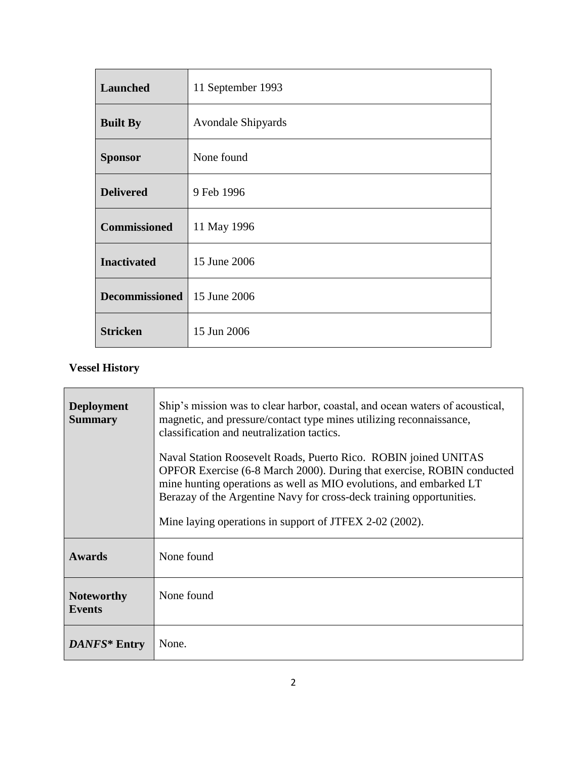| Launched              | 11 September 1993         |
|-----------------------|---------------------------|
| <b>Built By</b>       | <b>Avondale Shipyards</b> |
| <b>Sponsor</b>        | None found                |
| <b>Delivered</b>      | 9 Feb 1996                |
| <b>Commissioned</b>   | 11 May 1996               |
| <b>Inactivated</b>    | 15 June 2006              |
| <b>Decommissioned</b> | 15 June 2006              |
| <b>Stricken</b>       | 15 Jun 2006               |

# **Vessel History**

| <b>Deployment</b><br><b>Summary</b> | Ship's mission was to clear harbor, coastal, and ocean waters of acoustical,<br>magnetic, and pressure/contact type mines utilizing reconnaissance,<br>classification and neutralization tactics.<br>Naval Station Roosevelt Roads, Puerto Rico. ROBIN joined UNITAS<br>OPFOR Exercise (6-8 March 2000). During that exercise, ROBIN conducted<br>mine hunting operations as well as MIO evolutions, and embarked LT<br>Berazay of the Argentine Navy for cross-deck training opportunities.<br>Mine laying operations in support of JTFEX 2-02 (2002). |
|-------------------------------------|---------------------------------------------------------------------------------------------------------------------------------------------------------------------------------------------------------------------------------------------------------------------------------------------------------------------------------------------------------------------------------------------------------------------------------------------------------------------------------------------------------------------------------------------------------|
| <b>Awards</b>                       | None found                                                                                                                                                                                                                                                                                                                                                                                                                                                                                                                                              |
| <b>Noteworthy</b><br><b>Events</b>  | None found                                                                                                                                                                                                                                                                                                                                                                                                                                                                                                                                              |
| DANFS* Entry                        | None.                                                                                                                                                                                                                                                                                                                                                                                                                                                                                                                                                   |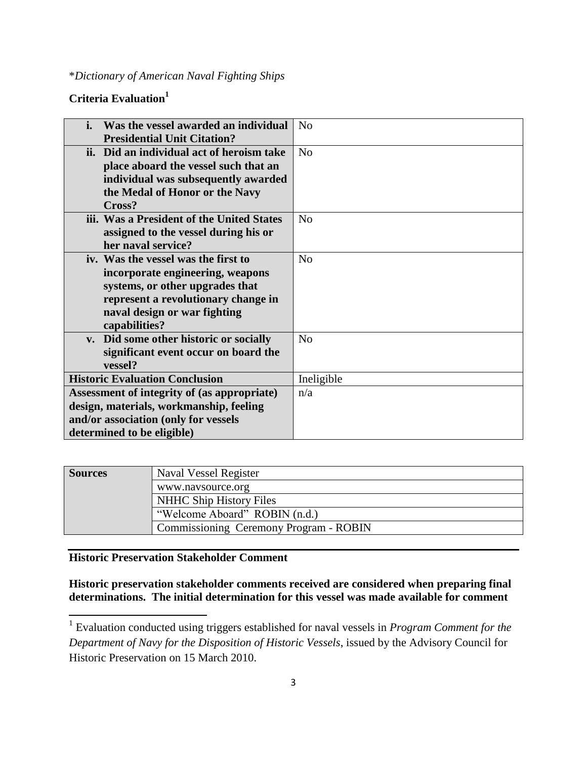### \**Dictionary of American Naval Fighting Ships*

### **Criteria Evaluation<sup>1</sup>**

| Was the vessel awarded an individual        | N <sub>0</sub> |
|---------------------------------------------|----------------|
| <b>Presidential Unit Citation?</b>          |                |
| ii. Did an individual act of heroism take   | N <sub>0</sub> |
| place aboard the vessel such that an        |                |
| individual was subsequently awarded         |                |
| the Medal of Honor or the Navy              |                |
| Cross?                                      |                |
| iii. Was a President of the United States   | N <sub>0</sub> |
| assigned to the vessel during his or        |                |
| her naval service?                          |                |
| iv. Was the vessel was the first to         | N <sub>o</sub> |
| incorporate engineering, weapons            |                |
| systems, or other upgrades that             |                |
| represent a revolutionary change in         |                |
| naval design or war fighting                |                |
| capabilities?                               |                |
| v. Did some other historic or socially      | N <sub>o</sub> |
| significant event occur on board the        |                |
| vessel?                                     |                |
| <b>Historic Evaluation Conclusion</b>       | Ineligible     |
| Assessment of integrity of (as appropriate) | n/a            |
| design, materials, workmanship, feeling     |                |
| and/or association (only for vessels        |                |
| determined to be eligible)                  |                |

| <b>Sources</b> | Naval Vessel Register                  |  |
|----------------|----------------------------------------|--|
|                | www.navsource.org                      |  |
|                | <b>NHHC Ship History Files</b>         |  |
|                | "Welcome Aboard" ROBIN (n.d.)          |  |
|                | Commissioning Ceremony Program - ROBIN |  |

#### **Historic Preservation Stakeholder Comment**

## **Historic preservation stakeholder comments received are considered when preparing final determinations. The initial determination for this vessel was made available for comment**

 1 Evaluation conducted using triggers established for naval vessels in *Program Comment for the Department of Navy for the Disposition of Historic Vessels*, issued by the Advisory Council for Historic Preservation on 15 March 2010.